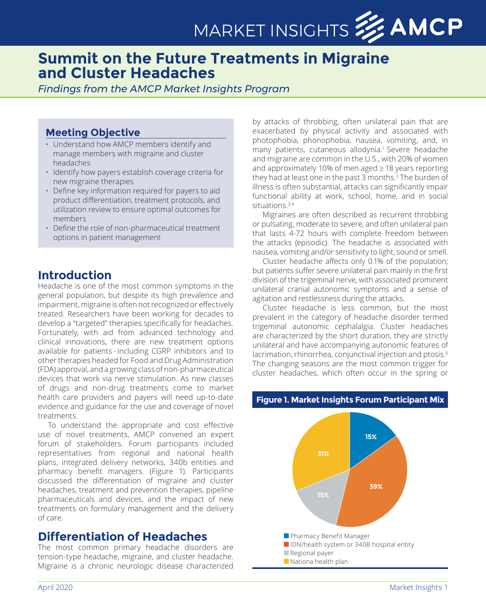# MARKET INSIGHTS **33 AMCP**

## **Summit on the Future Treatments in Migraine and Cluster Headaches**

#### *Findings from the AMCP Market Insights Program*

#### **Meeting Objective**

- Understand how AMCP members identify and manage members with migraine and cluster headaches
- Identify how payers establish coverage criteria for new migraine therapies
- Define key information required for payers to aid product differentiation, treatment protocols, and utilization review to ensure optimal outcomes for members
- Define the role of non-pharmaceutical treatment options in patient management

## **Introduction**

Headache is one of the most common symptoms in the general population, but despite its high prevalence and impairment, migraine is often not recognized or effectively treated. Researchers have been working for decades to develop a "targeted" therapies specifically for headaches. Fortunately, with aid from advanced technology and clinical innovations, there are new treatment options available for patients - including CGRP inhibitors and to other therapies headed for Food and Drug Administration (FDA) approval, and a growing class of non-pharmaceutical devices that work via nerve stimulation. As new classes of drugs and non-drug treatments come to market health care providers and payers will need up-to-date evidence and guidance for the use and coverage of novel treatments.

To understand the appropriate and cost effective use of novel treatments, AMCP convened an expert forum of stakeholders. Forum participants included representatives from regional and national health plans, integrated delivery networks, 340b entities and pharmacy benefit managers. (Figure 1). Participants discussed the differentiation of migraine and cluster headaches, treatment and prevention therapies, pipeline pharmaceuticals and devices, and the impact of new treatments on formulary management and the delivery of care.

## **Differentiation of Headaches**

The most common primary headache disorders are tension-type headache, migraine, and cluster headache. Migraine is a chronic neurologic disease characterized

by attacks of throbbing, often unilateral pain that are exacerbated by physical activity and associated with photophobia, phonophobia, nausea, vomiting, and, in many patients, cutaneous allodynia.<sup>1</sup> Severe headache and migraine are common in the U.S., with 20% of women and approximately 10% of men aged ≥ 18 years reporting they had at least one in the past 3 months.2 The burden of illness is often substantial, attacks can significantly impair functional ability at work, school, home, and in social situations.3,4

Migraines are often described as recurrent throbbing or pulsating, moderate to severe, and often unilateral pain that lasts 4-72 hours with complete freedom between the attacks (episodic). The headache is associated with nausea, vomiting and/or sensitivity to light, sound or smell.

Cluster headache affects only 0.1% of the population; but patients suffer severe unilateral pain mainly in the first division of the trigeminal nerve, with associated prominent unilateral cranial autonomic symptoms and a sense of agitation and restlessness during the attacks.

Cluster headache is less common, but the most prevalent in the category of headache disorder termed trigeminal autonomic cephalalgia. Cluster headaches are characterized by the short duration, they are strictly unilateral and have accompanying autonomic features of lacrimation, rhinorrhea, conjunctival injection and ptosis.<sup>6</sup> The changing seasons are the most common trigger for cluster headaches, which often occur in the spring or

#### **Figure 1. Market Insights Forum Participant Mix**

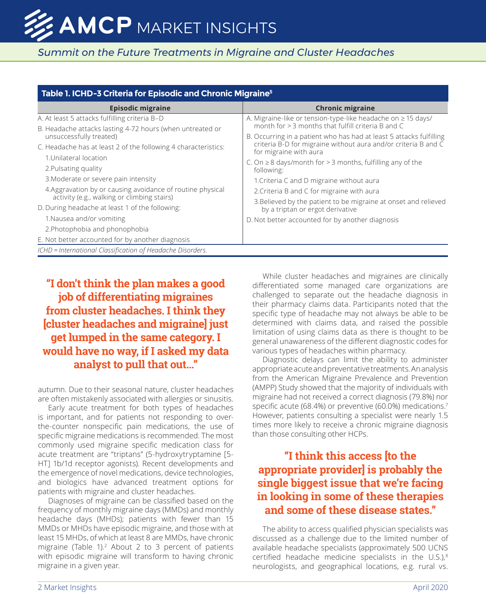| Table 1. ICHD-3 Criteria for Episodic and Chronic Migraine <sup>5</sup> |                                                                                          |  |  |
|-------------------------------------------------------------------------|------------------------------------------------------------------------------------------|--|--|
| <b>Episodic migraine</b>                                                | <b>Chronic migraine</b>                                                                  |  |  |
| A. At least 5 attacks fulfilling criteria B-D                           | A. Migraine-like or tension-type-like headache on $\geq$ 15 days/                        |  |  |
| B. Headache attacks lasting 4-72 hours (when untreated or               | month for $>$ 3 months that fulfill criteria B and C                                     |  |  |
| unsuccessfully treated)                                                 | B. Occurring in a patient who has had at least 5 attacks fulfilling                      |  |  |
| C. Headache has at least 2 of the following 4 characteristics:          | criteria B-D for migraine without aura and/or criteria B and C<br>for migraine with aura |  |  |
| 1. Unilateral location                                                  | C. On $\geq$ 8 days/month for > 3 months, fulfilling any of the                          |  |  |
| 2. Pulsating quality                                                    | following:                                                                               |  |  |
| 3. Moderate or severe pain intensity                                    | 1. Criteria C and D migraine without aura                                                |  |  |
| 4. Aggravation by or causing avoidance of routine physical              | 2. Criteria B and C for migraine with aura                                               |  |  |
| activity (e.g., walking or climbing stairs)                             | 3. Believed by the patient to be migraine at onset and relieved                          |  |  |
| D. During headache at least 1 of the following:                         | by a triptan or ergot derivative                                                         |  |  |
| 1. Nausea and/or vomiting                                               | D. Not better accounted for by another diagnosis                                         |  |  |
| 2. Photophobia and phonophobia                                          |                                                                                          |  |  |
| E. Not better accounted for by another diagnosis                        |                                                                                          |  |  |
| ICHD = International Classification of Headache Disorders.              |                                                                                          |  |  |

## **"I don't think the plan makes a good job of differentiating migraines from cluster headaches. I think they [cluster headaches and migraine] just get lumped in the same category. I would have no way, if I asked my data analyst to pull that out…"**

autumn. Due to their seasonal nature, cluster headaches are often mistakenly associated with allergies or sinusitis.

Early acute treatment for both types of headaches is important, and for patients not responding to overthe-counter nonspecific pain medications, the use of specific migraine medications is recommended. The most commonly used migraine specific medication class for acute treatment are "triptans" (5-hydroxytryptamine [5- HT] 1b/1d receptor agonists). Recent developments and the emergence of novel medications, device technologies, and biologics have advanced treatment options for patients with migraine and cluster headaches.

Diagnoses of migraine can be classified based on the frequency of monthly migraine days (MMDs) and monthly headache days (MHDs); patients with fewer than 15 MMDs or MHDs have episodic migraine, and those with at least 15 MHDs, of which at least 8 are MMDs, have chronic migraine (Table 1). $2$  About 2 to 3 percent of patients with episodic migraine will transform to having chronic migraine in a given year.

While cluster headaches and migraines are clinically differentiated some managed care organizations are challenged to separate out the headache diagnosis in their pharmacy claims data. Participants noted that the specific type of headache may not always be able to be determined with claims data, and raised the possible limitation of using claims data as there is thought to be general unawareness of the different diagnostic codes for various types of headaches within pharmacy.

Diagnostic delays can limit the ability to administer appropriate acute and preventative treatments. An analysis from the American Migraine Prevalence and Prevention (AMPP) Study showed that the majority of individuals with migraine had not received a correct diagnosis (79.8%) nor specific acute (68.4%) or preventive (60.0%) medications.7 However, patients consulting a specialist were nearly 1.5 times more likely to receive a chronic migraine diagnosis than those consulting other HCPs.

## **"I think this access [to the appropriate provider] is probably the single biggest issue that we're facing in looking in some of these therapies and some of these disease states."**

The ability to access qualified physician specialists was discussed as a challenge due to the limited number of available headache specialists (approximately 500 UCNS certified headache medicine specialists in the  $U.S.J.^8$ neurologists, and geographical locations, e.g. rural vs.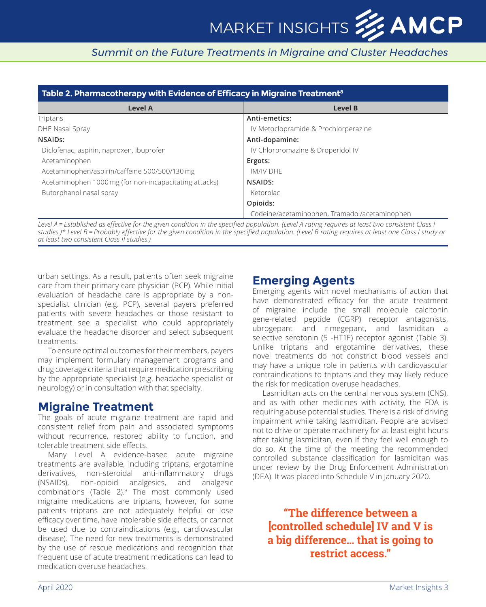| Table 2. Pharmacotherapy with Evidence of Efficacy in Migraine Treatment <sup>8</sup> |                                               |  |  |
|---------------------------------------------------------------------------------------|-----------------------------------------------|--|--|
| Level A                                                                               | Level B                                       |  |  |
| Triptans                                                                              | Anti-emetics:                                 |  |  |
| DHE Nasal Spray                                                                       | IV Metoclopramide & Prochlorperazine          |  |  |
| NSAID <sub>s</sub> :                                                                  | Anti-dopamine:                                |  |  |
| Diclofenac, aspirin, naproxen, ibuprofen                                              | IV Chlorpromazine & Droperidol IV             |  |  |
| Acetaminophen                                                                         | Ergots:                                       |  |  |
| Acetaminophen/aspirin/caffeine 500/500/130 mg                                         | <b>IM/IV DHF</b>                              |  |  |
| Acetaminophen 1000 mg (for non-incapacitating attacks)                                | NSAIDS:                                       |  |  |
| Butorphanol nasal spray                                                               | Ketorolac                                     |  |  |
|                                                                                       | Opioids:                                      |  |  |
|                                                                                       | Codeine/acetaminophen, Tramadol/acetaminophen |  |  |

*Level A = Established as effective for the given condition in the specified population. (Level A rating requires at least two consistent Class I studies.)\* Level B = Probably effective for the given condition in the specified population. (Level B rating requires at least one Class I study or at least two consistent Class II studies.)*

urban settings. As a result, patients often seek migraine care from their primary care physician (PCP). While initial evaluation of headache care is appropriate by a nonspecialist clinician (e.g. PCP), several payers preferred patients with severe headaches or those resistant to treatment see a specialist who could appropriately evaluate the headache disorder and select subsequent treatments.

To ensure optimal outcomes for their members, payers may implement formulary management programs and drug coverage criteria that require medication prescribing by the appropriate specialist (e.g. headache specialist or neurology) or in consultation with that specialty.

#### **Migraine Treatment**

The goals of acute migraine treatment are rapid and consistent relief from pain and associated symptoms without recurrence, restored ability to function, and tolerable treatment side effects.

Many Level A evidence-based acute migraine treatments are available, including triptans, ergotamine derivatives, non-steroidal anti-inflammatory drugs (NSAIDs), non-opioid analgesics, and analgesic combinations (Table 2).<sup>9</sup> The most commonly used migraine medications are triptans, however, for some patients triptans are not adequately helpful or lose efficacy over time, have intolerable side effects, or cannot be used due to contraindications (e.g., cardiovascular disease). The need for new treatments is demonstrated by the use of rescue medications and recognition that frequent use of acute treatment medications can lead to medication overuse headaches.

## **Emerging Agents**

Emerging agents with novel mechanisms of action that have demonstrated efficacy for the acute treatment of migraine include the small molecule calcitonin gene-related peptide (CGRP) receptor antagonists, ubrogepant and rimegepant, and lasmiditan a selective serotonin (5 -HT1F) receptor agonist (Table 3). Unlike triptans and ergotamine derivatives, these novel treatments do not constrict blood vessels and may have a unique role in patients with cardiovascular contraindications to triptans and they may likely reduce the risk for medication overuse headaches.

Lasmiditan acts on the central nervous system (CNS), and as with other medicines with activity, the FDA is requiring abuse potential studies. There is a risk of driving impairment while taking lasmiditan. People are advised not to drive or operate machinery for at least eight hours after taking lasmiditan, even if they feel well enough to do so. At the time of the meeting the recommended controlled substance classification for lasmiditan was under review by the Drug Enforcement Administration (DEA). It was placed into Schedule V in January 2020.

**"The difference between a [controlled schedule] IV and V is a big difference… that is going to restrict access."**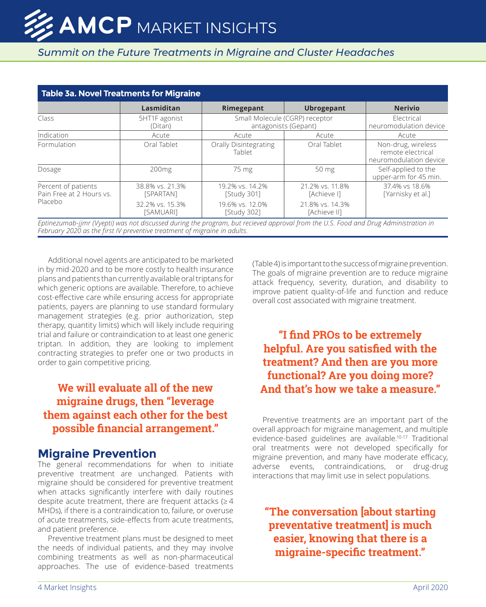| <b>Table 3a. Novel Treatments for Migraine</b>             |                              |                                                        |                                 |                                                                   |  |
|------------------------------------------------------------|------------------------------|--------------------------------------------------------|---------------------------------|-------------------------------------------------------------------|--|
|                                                            | Lasmiditan                   | Rimegepant                                             | <b>Ubrogepant</b>               | <b>Nerivio</b>                                                    |  |
| Class                                                      | 5HT1F agonist<br>(Ditan)     | Small Molecule (CGRP) receptor<br>antagonists (Gepant) |                                 | Flectrical<br>neuromodulation device                              |  |
| Indication                                                 | Acute                        | Acute                                                  | Acute                           | Acute                                                             |  |
| <b>Formulation</b>                                         | Oral Tablet                  | Orally Disintegrating<br>Tablet                        | Oral Tablet                     | Non-drug, wireless<br>remote electrical<br>neuromodulation device |  |
| Dosage                                                     | 200 <sub>mg</sub>            | 75 mg                                                  | 50 mg                           | Self-applied to the<br>upper-arm for 45 min.                      |  |
| Percent of patients<br>Pain Free at 2 Hours vs.<br>Placebo | 38.8% vs. 21.3%<br>[SPARTAN] | 19.2% vs. 14.2%<br><b>Study 3011</b>                   | 21.2% vs. 11.8%<br>[Achieve I]  | 37.4% vs 18.6%<br>[Yarnisky et al.]                               |  |
|                                                            | 32.2% vs. 15.3%<br>[SAMUARI] | 19.6% vs. 12.0%<br>[Study 302]                         | 21.8% vs. 14.3%<br>[Achieve II] |                                                                   |  |

*Eptinezumab-jjmr (Vyepti) was not discussed during the program, but recieved approval from the U.S. Food and Drug Administration in February 2020 as the first IV preventive treatment of migraine in adults.*

Additional novel agents are anticipated to be marketed in by mid-2020 and to be more costly to health insurance plans and patients than currently available oral triptans for which generic options are available. Therefore, to achieve cost-effective care while ensuring access for appropriate patients, payers are planning to use standard formulary management strategies (e.g. prior authorization, step therapy, quantity limits) which will likely include requiring trial and failure or contraindication to at least one generic triptan. In addition, they are looking to implement contracting strategies to prefer one or two products in order to gain competitive pricing.

## **We will evaluate all of the new migraine drugs, then "leverage them against each other for the best possible financial arrangement."**

#### **Migraine Prevention**

The general recommendations for when to initiate preventive treatment are unchanged. Patients with migraine should be considered for preventive treatment when attacks significantly interfere with daily routines despite acute treatment, there are frequent attacks ( $\geq 4$ ) MHDs), if there is a contraindication to, failure, or overuse of acute treatments, side-effects from acute treatments, and patient preference.

Preventive treatment plans must be designed to meet the needs of individual patients, and they may involve combining treatments as well as non-pharmaceutical approaches. The use of evidence-based treatments

(Table 4) is important to the success of migraine prevention. The goals of migraine prevention are to reduce migraine attack frequency, severity, duration, and disability to improve patient quality-of-life and function and reduce overall cost associated with migraine treatment.

**"I find PROs to be extremely helpful. Are you satisfied with the treatment? And then are you more functional? Are you doing more? And that's how we take a measure."**

Preventive treatments are an important part of the overall approach for migraine management, and multiple evidence-based guidelines are available.10-17 Traditional oral treatments were not developed specifically for migraine prevention, and many have moderate efficacy, adverse events, contraindications, or drug-drug interactions that may limit use in select populations.

**"The conversation [about starting preventative treatment] is much easier, knowing that there is a migraine-specific treatment."**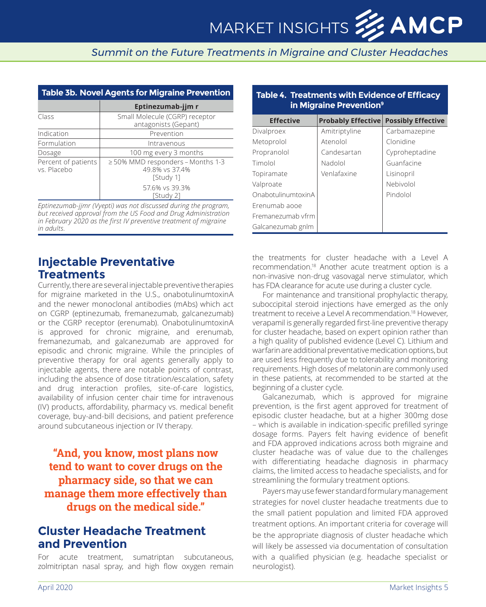| <b>Table 3b. Novel Agents for Migraine Prevention</b> |                                                                 |  |  |
|-------------------------------------------------------|-----------------------------------------------------------------|--|--|
|                                                       | Eptinezumab-jjm r                                               |  |  |
| Class                                                 | Small Molecule (CGRP) receptor<br>antagonists (Gepant)          |  |  |
| Indication                                            | Prevention                                                      |  |  |
| Formulation                                           | Intravenous                                                     |  |  |
| Dosage                                                | 100 mg every 3 months                                           |  |  |
| Percent of patients<br>vs. Placebo                    | ≥50% MMD responders - Months 1-3<br>49.8% vs 37.4%<br>[Study 1] |  |  |
|                                                       | 57.6% vs 39.3%<br>[Study 2]                                     |  |  |

*Eptinezumab-jjmr (Vyepti) was not discussed during the program, but received approval from the US Food and Drug Administration in February 2020 as the first IV preventive treatment of migraine in adults.*

#### **Injectable Preventative Treatments**

Currently, there are several injectable preventive therapies for migraine marketed in the U.S., onabotulinumtoxinA and the newer monoclonal antibodies (mAbs) which act on CGRP (eptinezumab, fremanezumab, galcanezumab) or the CGRP receptor (erenumab). OnabotulinumtoxinA is approved for chronic migraine, and erenumab, fremanezumab, and galcanezumab are approved for episodic and chronic migraine. While the principles of preventive therapy for oral agents generally apply to injectable agents, there are notable points of contrast, including the absence of dose titration/escalation, safety and drug interaction profiles, site-of-care logistics, availability of infusion center chair time for intravenous (IV) products, affordability, pharmacy vs. medical benefit coverage, buy-and-bill decisions, and patient preference around subcutaneous injection or IV therapy.

## **"And, you know, most plans now tend to want to cover drugs on the pharmacy side, so that we can manage them more effectively than drugs on the medical side."**

#### **Cluster Headache Treatment and Prevention**

For acute treatment, sumatriptan subcutaneous, zolmitriptan nasal spray, and high flow oxygen remain

| in Migraine Prevention <sup>9</sup> |                           |                           |  |  |
|-------------------------------------|---------------------------|---------------------------|--|--|
| <b>Effective</b>                    | <b>Probably Effective</b> | <b>Possibly Effective</b> |  |  |
| Divalproex                          | Amitriptyline             | Carbamazepine             |  |  |
| Metoprolol                          | Atenolol                  | Clonidine                 |  |  |
| Propranolol                         | Candesartan               | Cyproheptadine            |  |  |
| Timolol                             | Nadolol                   | Guanfacine                |  |  |
| Topiramate                          | Venlafaxine               | Lisinopril                |  |  |
| Valproate                           |                           | Nebivolol                 |  |  |
| OnabotulinumtoxinA                  |                           | Pindolol                  |  |  |
| Frenumab agoe                       |                           |                           |  |  |
| Fremanezumab vfrm                   |                           |                           |  |  |
| Galcanezumab gnlm                   |                           |                           |  |  |

**Table 4. Treatments with Evidence of Efficacy** 

the treatments for cluster headache with a Level A recommendation.<sup>18</sup> Another acute treatment option is a non-invasive non-drug vasovagal nerve stimulator, which has FDA clearance for acute use during a cluster cycle.

For maintenance and transitional prophylactic therapy, suboccipital steroid injections have emerged as the only treatment to receive a Level A recommendation.<sup>18</sup> However, verapamil is generally regarded first-line preventive therapy for cluster headache, based on expert opinion rather than a high quality of published evidence (Level C). Lithium and warfarin are additional preventative medication options, but are used less frequently due to tolerability and monitoring requirements. High doses of melatonin are commonly used in these patients, at recommended to be started at the beginning of a cluster cycle.

Galcanezumab, which is approved for migraine prevention, is the first agent approved for treatment of episodic cluster headache, but at a higher 300mg dose – which is available in indication-specific prefilled syringe dosage forms. Payers felt having evidence of benefit and FDA approved indications across both migraine and cluster headache was of value due to the challenges with differentiating headache diagnosis in pharmacy claims, the limited access to headache specialists, and for streamlining the formulary treatment options.

Payers may use fewer standard formulary management strategies for novel cluster headache treatments due to the small patient population and limited FDA approved treatment options. An important criteria for coverage will be the appropriate diagnosis of cluster headache which will likely be assessed via documentation of consultation with a qualified physician (e.g. headache specialist or neurologist).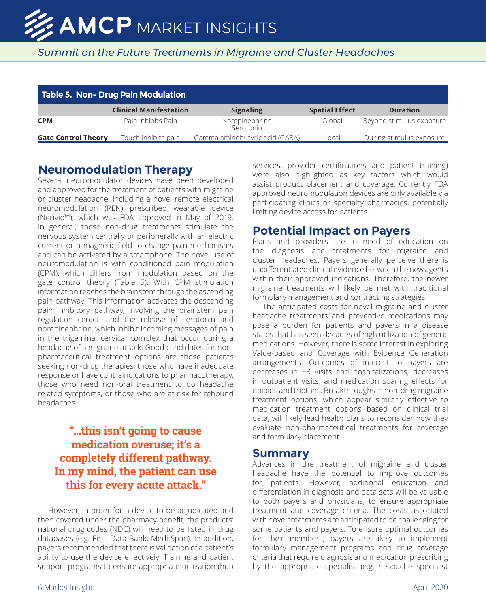| <b>Table 5. Non- Drug Pain Modulation</b> |                               |                                |                       |                          |
|-------------------------------------------|-------------------------------|--------------------------------|-----------------------|--------------------------|
|                                           | <b>Clinical Manifestation</b> | <b>Signaling</b>               | <b>Spatial Effect</b> | <b>Duration</b>          |
| <b>CPM</b>                                | Pain inhibits Pain            | Norepinephrine<br>Serotonin    | Global                | Beyond stimulus exposure |
| <b>Gate Control Theory</b>                | Touch inhibits pain           | Gamma aminobutyric acid (GABA) | Local                 | During stimulus exposure |

## **Neuromodulation Therapy**

Several neuromodulator devices have been developed and approved for the treatment of patients with migraine or cluster headache, including a novel remote electrical neuromodulation (REN) prescribed wearable device (Nerivio™), which was FDA approved in May of 2019. In general, these non-drug treatments stimulate the nervous system centrally or peripherally with an electric current or a magnetic field to change pain mechanisms and can be activated by a smartphone. The novel use of neuromodulation is with conditioned pain modulation (CPM), which differs from modulation based on the gate control theory (Table 5). With CPM stimulation information reaches the brainstem through the ascending pain pathway. This information activates the descending pain inhibitory pathway, involving the brainstem pain regulation center, and the release of serotonin and norepinephrine, which inhibit incoming messages of pain in the trigeminal cervical complex that occur during a headache of a migraine attack. Good candidates for nonpharmaceutical treatment options are those patients seeking non-drug therapies, those who have inadequate response or have contraindications to pharmacotherapy, those who need non-oral treatment to do headache related symptoms, or those who are at risk for rebound headaches.

## **"…this isn't going to cause medication overuse; it's a completely different pathway. In my mind, the patient can use this for every acute attack."**

However, in order for a device to be adjudicated and then covered under the pharmacy benefit, the products' national drug codes (NDC) will need to be listed in drug databases (e.g. First Data Bank, Medi-Span). In addition, payers recommended that there is validation of a patient's ability to use the device effectively. Training and patient support programs to ensure appropriate utilization (hub services, provider certifications and patient training) were also highlighted as key factors which would assist product placement and coverage. Currently FDA approved neuromodulation devices are only available via participating clinics or specialty pharmacies, potentially limiting device access for patients.

#### **Potential Impact on Payers**

Plans and providers are in need of education on the diagnosis and treatments for migraine and cluster headaches. Payers generally perceive there is undifferentiated clinical evidence between the new agents within their approved indications. Therefore, the newer migraine treatments will likely be met with traditional formulary management and contracting strategies.

The anticipated costs for novel migraine and cluster headache treatments and preventive medications may pose a burden for patients and payers in a disease states that has seen decades of high utilization of generic medications. However, there is some interest in exploring Value-based and Coverage with Evidence Generation arrangements. Outcomes of interest to payers are decreases in ER visits and hospitalizations, decreases in outpatient visits, and medication sparing effects for opioids and triptans. Breakthroughs in non-drug migraine treatment options, which appear similarly effective to medication treatment options based on clinical trial data, will likely lead health plans to reconsider how they evaluate non-pharmaceutical treatments for coverage and formulary placement.

#### **Summary**

Advances in the treatment of migraine and cluster headache have the potential to improve outcomes for patients. However, additional education and differentiation in diagnosis and data sets will be valuable to both payers and physicians, to ensure appropriate treatment and coverage criteria. The costs associated with novel treatments are anticipated to be challenging for some patients and payers. To ensure optimal outcomes for their members, payers are likely to implement formulary management programs and drug coverage criteria that require diagnosis and medication prescribing by the appropriate specialist (e.g. headache specialist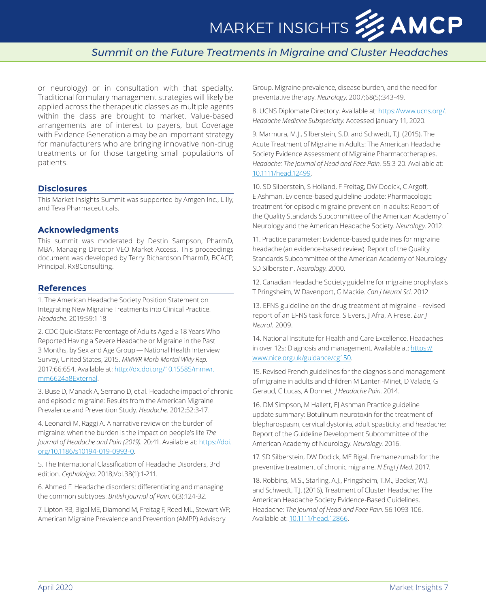## MARKET INSIGHTS **33 AMCP**

#### *Summit on the Future Treatments in Migraine and Cluster Headaches*

or neurology) or in consultation with that specialty. Traditional formulary management strategies will likely be applied across the therapeutic classes as multiple agents within the class are brought to market. Value-based arrangements are of interest to payers, but Coverage with Evidence Generation a may be an important strategy for manufacturers who are bringing innovative non-drug treatments or for those targeting small populations of patients.

#### **Disclosures**

This Market Insights Summit was supported by Amgen Inc., Lilly, and Teva Pharmaceuticals.

#### **Acknowledgments**

This summit was moderated by Destin Sampson, PharmD, MBA, Managing Director VEO Market Access. This proceedings document was developed by Terry Richardson PharmD, BCACP, Principal, Rx8Consulting.

#### **References**

1. The American Headache Society Position Statement on Integrating New Migraine Treatments into Clinical Practice. *Headache*. 2019;59:1-18

2. CDC QuickStats: Percentage of Adults Aged ≥ 18 Years Who Reported Having a Severe Headache or Migraine in the Past 3 Months, by Sex and Age Group — National Health Interview Survey, United States, 2015. *MMWR Morb Mortal Wkly Rep.*  2017;66:654. Available at: [http://dx.doi.org/10.15585/mmwr.](http://dx.doi.org/10.15585/mmwr.mm6624a8External) [mm6624a8External](http://dx.doi.org/10.15585/mmwr.mm6624a8External).

3. Buse D, Manack A, Serrano D, et al. Headache impact of chronic and episodic migraine: Results from the American Migraine Prevalence and Prevention Study. *Headache*. 2012;52:3-17.

4. Leonardi M, Raggi A. A narrative review on the burden of migraine: when the burden is the impact on people's life *The Journal of Headache and Pain (2019).* 20:41. Available at: [https://doi.](https://doi.org/10.1186/s10194-019-0993-0) [org/10.1186/s10194-019-0993-0](https://doi.org/10.1186/s10194-019-0993-0).

5. The International Classification of Headache Disorders, 3rd edition. *Cephalalgia*. 2018;Vol.38(1):1-211.

6. Ahmed F. Headache disorders: differentiating and managing the common subtypes. *British Journal of Pain.* 6(3):124-32.

7. Lipton RB, Bigal ME, Diamond M, Freitag F, Reed ML, Stewart WF; American Migraine Prevalence and Prevention (AMPP) Advisory

Group. Migraine prevalence, disease burden, and the need for preventative therapy. *Neurology*. 2007;68(5):343-49.

8. UCNS Diplomate Directory. Available at:<https://www.ucns.org/>. *Headache Medicine Subspecialty.* Accessed January 11, 2020.

9. Marmura, M.J., Silberstein, S.D. and Schwedt, T.J. (2015), The Acute Treatment of Migraine in Adults: The American Headache Society Evidence Assessment of Migraine Pharmacotherapies. *Headache: The Journal of Head and Face Pain.* 55:3-20. Available at: [10.1111/head.12499](http://10.1111/head.12499).

10. SD Silberstein, S Holland, F Freitag, DW Dodick, C Argoff, E Ashman. Evidence-based guideline update: Pharmacologic treatment for episodic migraine prevention in adults: Report of the Quality Standards Subcommittee of the American Academy of Neurology and the American Headache Society. *Neurology*. 2012.

11. Practice parameter: Evidence-based guidelines for migraine headache (an evidence-based review): Report of the Quality Standards Subcommittee of the American Academy of Neurology SD Silberstein. *Neurology*. 2000.

12. Canadian Headache Society guideline for migraine prophylaxis T Pringsheim, W Davenport, G Mackie. *Can J Neurol Sci.* 2012.

13. EFNS guideline on the drug treatment of migraine – revised report of an EFNS task force. S Evers, J Afra, A Frese. *Eur J Neurol.* 2009.

14. National Institute for Health and Care Excellence. Headaches in over 12s: Diagnosis and management. Available at: [https://](https://www.nice.org.uk/guidance/cg150) [www.nice.org.uk/guidance/cg150.](https://www.nice.org.uk/guidance/cg150)

15. Revised French guidelines for the diagnosis and management of migraine in adults and children M Lanteri-Minet, D Valade, G Geraud, C Lucas, A Donnet. *J Headache Pain*. 2014.

16. DM Simpson, M Hallett, EJ Ashman Practice guideline update summary: Botulinum neurotoxin for the treatment of blepharospasm, cervical dystonia, adult spasticity, and headache: Report of the Guideline Development Subcommittee of the American Academy of Neurology. *Neurology*. 2016.

17. SD Silberstein, DW Dodick, ME Bigal. Fremanezumab for the preventive treatment of chronic migraine. *N Engl J Med.* 2017.

18. Robbins, M.S., Starling, A.J., Pringsheim, T.M., Becker, W.J. and Schwedt, T.J. (2016), Treatment of Cluster Headache: The American Headache Society Evidence-Based Guidelines. Headache: *The Journal of Head and Face Pain*. 56:1093-106. Available at: [10.1111/head.12866](http://10.1111/head.12866).